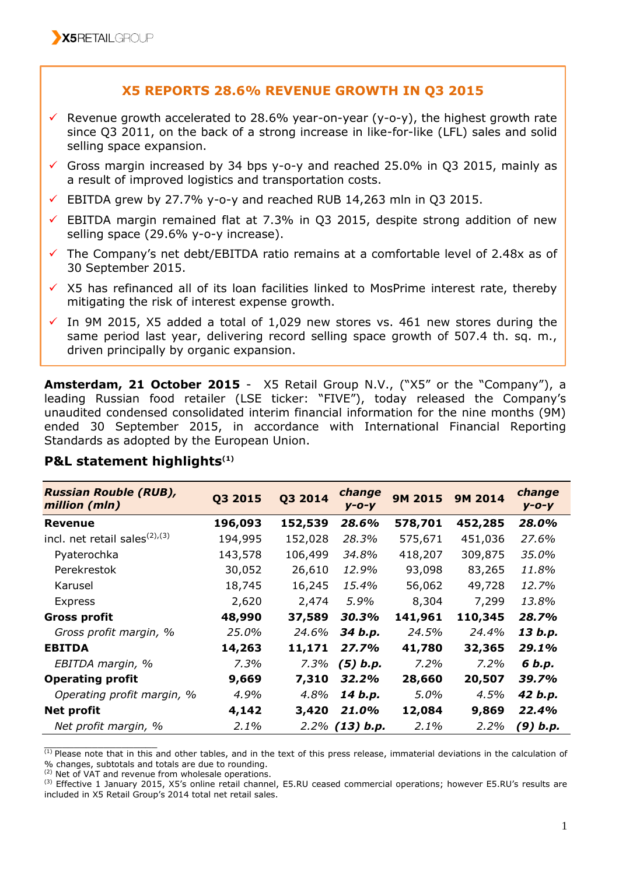## **X5 REPORTS 28.6% REVENUE GROWTH IN Q3 2015**

- $\checkmark$  Revenue growth accelerated to 28.6% year-on-year (y-o-y), the highest growth rate since Q3 2011, on the back of a strong increase in like-for-like (LFL) sales and solid selling space expansion.
- Gross margin increased by 34 bps y-o-y and reached 25.0% in Q3 2015, mainly as a result of improved logistics and transportation costs.
- $\checkmark$  EBITDA grew by 27.7% y-o-y and reached RUB 14,263 mln in Q3 2015.
- $\checkmark$  EBITDA margin remained flat at 7.3% in Q3 2015, despite strong addition of new selling space (29.6% y-o-y increase).
- The Company's net debt/EBITDA ratio remains at a comfortable level of 2.48x as of 30 September 2015.
- $\checkmark$  X5 has refinanced all of its loan facilities linked to MosPrime interest rate, thereby mitigating the risk of interest expense growth.
- $\checkmark$  In 9M 2015, X5 added a total of 1,029 new stores vs. 461 new stores during the same period last year, delivering record selling space growth of 507.4 th. sq. m., driven principally by organic expansion.

**Amsterdam, 21 October 2015** - X5 Retail Group N.V., ("X5" or the "Company"), a leading Russian food retailer (LSE ticker: "FIVE"), today released the Company's unaudited condensed consolidated interim financial information for the nine months (9M) ended 30 September 2015, in accordance with International Financial Reporting Standards as adopted by the European Union.

| <b>Russian Rouble (RUB),</b><br>million (mln)        | Q3 2015 | Q3 2014 | change<br>$V - O - V$ | 9M 2015 | <b>9M 2014</b> | change<br>$y - o - y$ |
|------------------------------------------------------|---------|---------|-----------------------|---------|----------------|-----------------------|
| Revenue                                              | 196,093 | 152,539 | 28.6%                 | 578,701 | 452,285        | 28.0%                 |
| incl. net retail sales <sup>(2)</sup> <sup>(3)</sup> | 194,995 | 152,028 | 28.3%                 | 575,671 | 451,036        | 27.6%                 |
| Pyaterochka                                          | 143,578 | 106,499 | 34.8%                 | 418,207 | 309,875        | 35.0%                 |
| Perekrestok                                          | 30,052  | 26,610  | 12.9%                 | 93,098  | 83,265         | 11.8%                 |
| Karusel                                              | 18,745  | 16,245  | 15.4%                 | 56,062  | 49,728         | 12.7%                 |
| <b>Express</b>                                       | 2,620   | 2,474   | 5.9%                  | 8,304   | 7,299          | 13.8%                 |
| <b>Gross profit</b>                                  | 48,990  | 37,589  | 30.3%                 | 141,961 | 110,345        | 28.7%                 |
| Gross profit margin, %                               | 25.0%   | 24.6%   | 34 b.p.               | 24.5%   | 24.4%          | 13 b.p.               |
| <b>EBITDA</b>                                        | 14,263  | 11,171  | 27.7%                 | 41,780  | 32,365         | 29.1%                 |
| EBITDA margin, %                                     | $7.3\%$ | 7.3%    | $(5)$ b.p.            | 7.2%    | 7.2%           | 6 b.p.                |
| <b>Operating profit</b>                              | 9,669   | 7,310   | 32.2%                 | 28,660  | 20,507         | 39.7%                 |
| Operating profit margin, %                           | 4.9%    | 4.8%    | 14 b.p.               | 5.0%    | 4.5%           | 42 b.p.               |
| <b>Net profit</b>                                    | 4,142   | 3,420   | 21.0%                 | 12,084  | 9,869          | 22.4%                 |
| Net profit margin, %                                 | 2.1%    |         | $2.2\%$ (13) b.p.     | 2.1%    | 2.2%           | $(9)$ b.p.            |

### **P&L statement highlights(1)**

 $^{(1)}$  Please note that in this and other tables, and in the text of this press release, immaterial deviations in the calculation of % changes, subtotals and totals are due to rounding.

(2) Net of VAT and revenue from wholesale operations.

 $\_$ 

(3) Effective 1 January 2015, X5's online retail channel, E5.RU ceased commercial operations; however E5.RU's results are included in X5 Retail Group's 2014 total net retail sales.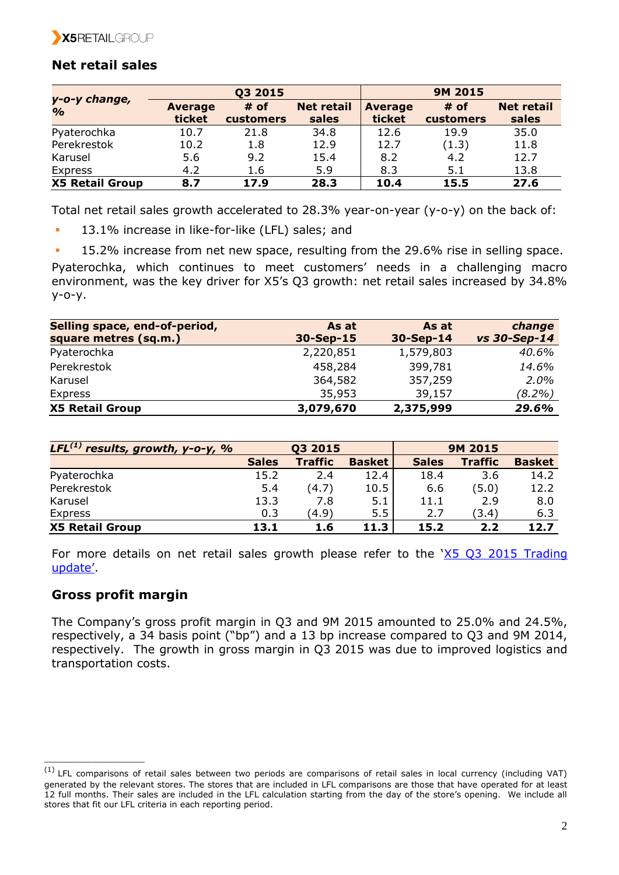

## **Net retail sales**

|                                | Q3 2015        |           |                   | <b>9M 2015</b> |           |                   |
|--------------------------------|----------------|-----------|-------------------|----------------|-----------|-------------------|
| y-o-y change,<br>$\frac{1}{2}$ | <b>Average</b> | $#$ of    | <b>Net retail</b> | <b>Average</b> | $#$ of    | <b>Net retail</b> |
|                                | ticket         | customers | sales             | ticket         | customers | sales             |
| Pyaterochka                    | 10.7           | 21.8      | 34.8              | 12.6           | 19.9      | 35.0              |
| Perekrestok                    | 10.2           | 1.8       | 12.9              | 12.7           | (1.3)     | 11.8              |
| Karusel                        | 5.6            | 9.2       | 15.4              | 8.2            | 4.2       | 12.7              |
| Express                        | 4.2            | 1.6       | 5.9               | 8.3            | 5.1       | 13.8              |
| <b>X5 Retail Group</b>         | 8.7            | 17.9      | 28.3              | 10.4           | 15.5      | 27.6              |

Total net retail sales growth accelerated to 28.3% year-on-year (y-o-y) on the back of:

- 13.1% increase in like-for-like (LFL) sales; and
- 15.2% increase from net new space, resulting from the 29.6% rise in selling space.

Pyaterochka, which continues to meet customers' needs in a challenging macro environment, was the key driver for X5's Q3 growth: net retail sales increased by 34.8% y-o-y.

| Selling space, end-of-period, | As at       | As at       | change       |
|-------------------------------|-------------|-------------|--------------|
| square metres (sq.m.)         | $30-Sep-15$ | $30-Sep-14$ | vs 30-Sep-14 |
| Pyaterochka                   | 2,220,851   | 1,579,803   | 40.6%        |
| Perekrestok                   | 458,284     | 399,781     | 14.6%        |
| Karusel                       | 364,582     | 357,259     | 2.0%         |
| Express                       | 35,953      | 39,157      | (8.2%)       |
| <b>X5 Retail Group</b>        | 3,079,670   | 2,375,999   | 29.6%        |

| LFL $^{(1)}$ results, growth, y-o-y, % |              | Q3 2015        |               |              | <b>9M 2015</b> |               |  |
|----------------------------------------|--------------|----------------|---------------|--------------|----------------|---------------|--|
|                                        | <b>Sales</b> | <b>Traffic</b> | <b>Basket</b> | <b>Sales</b> | <b>Traffic</b> | <b>Basket</b> |  |
| Pyaterochka                            | 15.2         | 2.4            | 12.4          | 18.4         | 3.6            | 14.2          |  |
| Perekrestok                            | 5.4          | (4.7)          | 10.5          | 6.6          | (5.0)          | 12.2          |  |
| Karusel                                | 13.3         | 7.8            | 5.1           | 11.1         | 2.9            | 8.0           |  |
| Express                                | 0.3          | (4.9)          | 5.5           | 2.7          | (3.4)          | 6.3           |  |
| <b>X5 Retail Group</b>                 | 13.1         | 1.6            | 11.3          | 15.2         | 2.2            | 12.7          |  |

For more details on net retail sales growth please refer to the 'X5 Q3 [2015 Trading](http://www.x5.ru/common/img/uploaded/files/press_releases/2015/Q3_2015_Trading_Update_ENG.pdf)  [update'](http://www.x5.ru/common/img/uploaded/files/press_releases/2015/Q3_2015_Trading_Update_ENG.pdf).

## **Gross profit margin**

\_\_\_\_\_\_\_\_\_\_\_\_\_\_\_\_\_\_\_

The Company's gross profit margin in Q3 and 9M 2015 amounted to 25.0% and 24.5%, respectively, a 34 basis point ("bp") and a 13 bp increase compared to Q3 and 9M 2014, respectively. The growth in gross margin in Q3 2015 was due to improved logistics and transportation costs.

 $(1)$  LFL comparisons of retail sales between two periods are comparisons of retail sales in local currency (including VAT) generated by the relevant stores. The stores that are included in LFL comparisons are those that have operated for at least 12 full months. Their sales are included in the LFL calculation starting from the day of the store's opening. We include all stores that fit our LFL criteria in each reporting period.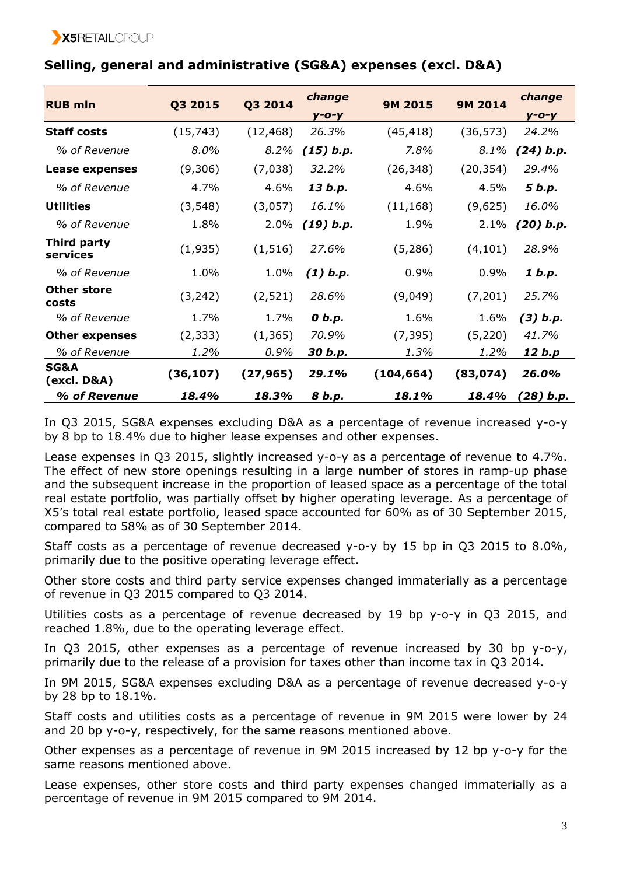| <b>RUB mln</b>                 | Q3 2015   | Q3 2014   | change      | 9M 2015    | <b>9M 2014</b> | change       |
|--------------------------------|-----------|-----------|-------------|------------|----------------|--------------|
|                                |           |           | $y - o - y$ |            |                | $y - o - y$  |
| <b>Staff costs</b>             | (15, 743) | (12, 468) | 26.3%       | (45, 418)  | (36, 573)      | 24.2%        |
| % of Revenue                   | 8.0%      | 8.2%      | $(15)$ b.p. | 7.8%       | 8.1%           | $(24)$ b.p.  |
| Lease expenses                 | (9,306)   | (7,038)   | 32.2%       | (26, 348)  | (20, 354)      | 29.4%        |
| % of Revenue                   | 4.7%      | 4.6%      | 13 b.p.     | 4.6%       | 4.5%           | 5 b.p.       |
| <b>Utilities</b>               | (3, 548)  | (3,057)   | 16.1%       | (11, 168)  | (9,625)        | 16.0%        |
| % of Revenue                   | 1.8%      | 2.0%      | (19) b.p.   | 1.9%       | 2.1%           | (20) b.p.    |
| Third party<br>services        | (1,935)   | (1, 516)  | 27.6%       | (5,286)    | (4, 101)       | 28.9%        |
| % of Revenue                   | 1.0%      | 1.0%      | $(1)$ b.p.  | 0.9%       | 0.9%           | 1 b.p.       |
| <b>Other store</b><br>costs    | (3, 242)  | (2,521)   | 28.6%       | (9,049)    | (7,201)        | 25.7%        |
| % of Revenue                   | 1.7%      | 1.7%      | 0 b.p.      | 1.6%       | 1.6%           | $(3)$ $b.p.$ |
| <b>Other expenses</b>          | (2, 333)  | (1, 365)  | 70.9%       | (7, 395)   | (5,220)        | 41.7%        |
| % of Revenue                   | 1.2%      | 0.9%      | 30 b.p.     | 1.3%       | 1.2%           | 12 b.p       |
| <b>SG&amp;A</b><br>(excl. D&A) | (36, 107) | (27, 965) | 29.1%       | (104, 664) | (83, 074)      | 26.0%        |
| % of Revenue                   | 18.4%     | 18.3%     | 8 b.p.      | 18.1%      | 18.4%          | (28) b.p.    |

# **Selling, general and administrative (SG&A) expenses (excl. D&A)**

In Q3 2015, SG&A expenses excluding D&A as a percentage of revenue increased y-o-y by 8 bp to 18.4% due to higher lease expenses and other expenses.

Lease expenses in Q3 2015, slightly increased y-o-y as a percentage of revenue to 4.7%. The effect of new store openings resulting in a large number of stores in ramp-up phase and the subsequent increase in the proportion of leased space as a percentage of the total real estate portfolio, was partially offset by higher operating leverage. As a percentage of X5's total real estate portfolio, leased space accounted for 60% as of 30 September 2015, compared to 58% as of 30 September 2014.

Staff costs as a percentage of revenue decreased y-o-y by 15 bp in Q3 2015 to 8.0%, primarily due to the positive operating leverage effect.

Other store costs and third party service expenses changed immaterially as a percentage of revenue in Q3 2015 compared to Q3 2014.

Utilities costs as a percentage of revenue decreased by 19 bp y-o-y in Q3 2015, and reached 1.8%, due to the operating leverage effect.

In Q3 2015, other expenses as a percentage of revenue increased by 30 bp y-o-y, primarily due to the release of a provision for taxes other than income tax in Q3 2014.

In 9M 2015, SG&A expenses excluding D&A as a percentage of revenue decreased y-o-y by 28 bp to 18.1%.

Staff costs and utilities costs as a percentage of revenue in 9M 2015 were lower by 24 and 20 bp y-o-y, respectively, for the same reasons mentioned above.

Other expenses as a percentage of revenue in 9M 2015 increased by 12 bp y-o-y for the same reasons mentioned above.

Lease expenses, other store costs and third party expenses changed immaterially as a percentage of revenue in 9M 2015 compared to 9M 2014.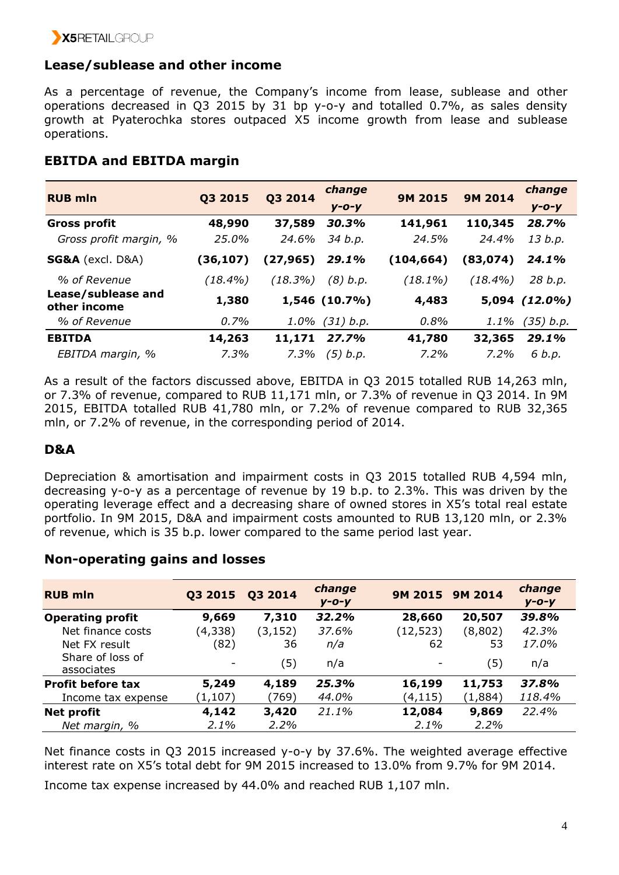## **Lease/sublease and other income**

As a percentage of revenue, the Company's income from lease, sublease and other operations decreased in Q3 2015 by 31 bp y-o-y and totalled 0.7%, as sales density growth at Pyaterochka stores outpaced X5 income growth from lease and sublease operations.

## **EBITDA and EBITDA margin**

| <b>RUB mln</b>                     |            |          | change            |                | <b>9M 2014</b> | change             |
|------------------------------------|------------|----------|-------------------|----------------|----------------|--------------------|
|                                    | Q3 2015    | Q3 2014  | $V - O - V$       | <b>9M 2015</b> |                | $V - O - V$        |
| <b>Gross profit</b>                | 48,990     | 37,589   | 30.3%             | 141,961        | 110,345        | 28.7%              |
| Gross profit margin, %             | 25.0%      | 24.6%    | 34 b.p.           | 24.5%          | 24.4%          | 13 b.p.            |
| <b>SG&amp;A</b> (excl. D&A)        | (36,107)   | (27,965) | 29.1%             | (104, 664)     | (83, 074)      | 24.1%              |
| % of Revenue                       | $(18.4\%)$ | (18.3%)  | (8) b.p.          | $(18.1\%)$     | $(18.4\%)$     | 28 b.p.            |
| Lease/sublease and<br>other income | 1,380      |          | $1,546(10.7\%)$   | 4,483          |                | $5,094$ $(12.0\%)$ |
| % of Revenue                       | 0.7%       |          | $1.0\%$ (31) b.p. | 0.8%           | 1.1%           | (35) b.p.          |
| <b>EBITDA</b>                      | 14,263     | 11,171   | 27.7%             | 41,780         | 32,365         | 29.1%              |
| EBITDA margin, %                   | 7.3%       | 7.3%     | $(5)$ b.p.        | 7.2%           | 7.2%           | 6 b.p.             |

As a result of the factors discussed above, EBITDA in Q3 2015 totalled RUB 14,263 mln, or 7.3% of revenue, compared to RUB 11,171 mln, or 7.3% of revenue in Q3 2014. In 9M 2015, EBITDA totalled RUB 41,780 mln, or 7.2% of revenue compared to RUB 32,365 mln, or 7.2% of revenue, in the corresponding period of 2014.

## **D&A**

Depreciation & amortisation and impairment costs in Q3 2015 totalled RUB 4,594 mln, decreasing y-o-y as a percentage of revenue by 19 b.p. to 2.3%. This was driven by the operating leverage effect and a decreasing share of owned stores in X5's total real estate portfolio. In 9M 2015, D&A and impairment costs amounted to RUB 13,120 mln, or 2.3% of revenue, which is 35 b.p. lower compared to the same period last year.

| <b>RUB mln</b>                 | Q3 2015                  | Q3 2014  | change<br>$y - o - y$ | 9M 2015 9M 2014          |         | change<br>$y - o - y$ |
|--------------------------------|--------------------------|----------|-----------------------|--------------------------|---------|-----------------------|
| <b>Operating profit</b>        | 9,669                    | 7,310    | 32.2%                 | 28,660                   | 20,507  | 39.8%                 |
| Net finance costs              | (4,338)                  | (3, 152) | 37.6%                 | (12, 523)                | (8,802) | 42.3%                 |
| Net FX result                  | (82)                     | 36       | n/a                   | 62                       | 53      | 17.0%                 |
| Share of loss of<br>associates | $\overline{\phantom{a}}$ | (5)      | n/a                   | $\overline{\phantom{a}}$ | (5)     | n/a                   |
| <b>Profit before tax</b>       | 5,249                    | 4,189    | 25.3%                 | 16,199                   | 11,753  | 37.8%                 |
| Income tax expense             | (1, 107)                 | (769)    | 44.0%                 | (4,115)                  | (1,884) | 118.4%                |
| <b>Net profit</b>              | 4,142                    | 3,420    | 21.1%                 | 12,084                   | 9,869   | 22.4%                 |
| Net margin, %                  | $2.1\%$                  | $2.2\%$  |                       | 2.1%                     | 2.2%    |                       |

## **Non-operating gains and losses**

Net finance costs in Q3 2015 increased y-o-y by 37.6%. The weighted average effective interest rate on X5's total debt for 9M 2015 increased to 13.0% from 9.7% for 9M 2014.

Income tax expense increased by 44.0% and reached RUB 1,107 mln.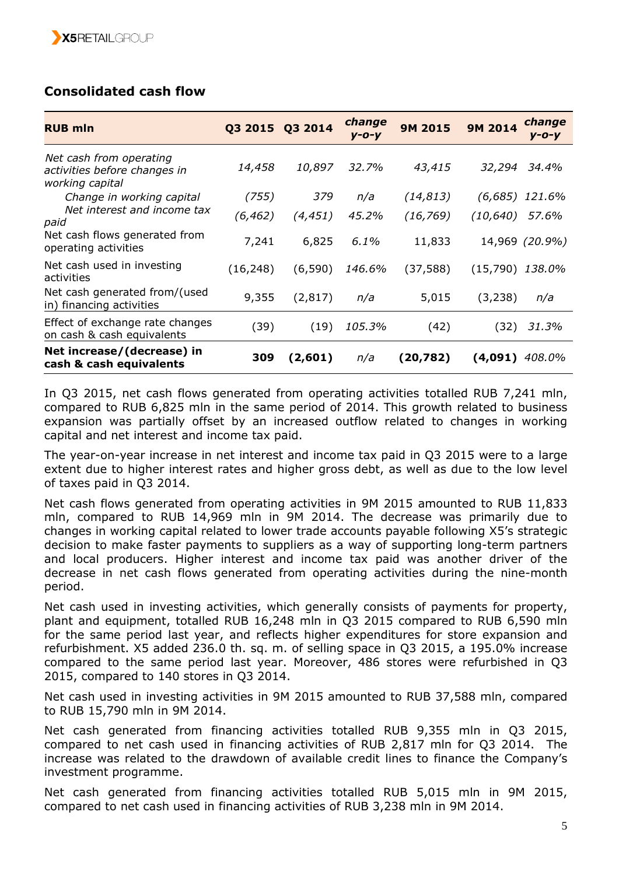# **Consolidated cash flow**

| <b>RUB mln</b>                                                             | Q3 2015 Q3 2014 |          | change<br>$V - O - V$ | 9M 2015   | change<br><b>9M 2014</b><br>$V - O - V$ |
|----------------------------------------------------------------------------|-----------------|----------|-----------------------|-----------|-----------------------------------------|
| Net cash from operating<br>activities before changes in<br>working capital | 14,458          | 10,897   | 32.7%                 | 43,415    | 32,294<br>34.4%                         |
| Change in working capital                                                  | (755)           | 379      | n/a                   | (14, 813) | (6,685)<br>121.6%                       |
| Net interest and income tax<br>paid                                        | (6, 462)        | (4, 451) | 45.2%                 | (16, 769) | (10,640)<br>57.6%                       |
| Net cash flows generated from<br>operating activities                      | 7,241           | 6,825    | 6.1%                  | 11,833    | 14,969 (20.9%)                          |
| Net cash used in investing<br>activities                                   | (16, 248)       | (6,590)  | 146.6%                | (37,588)  | (15,790)<br>138.0%                      |
| Net cash generated from/(used<br>in) financing activities                  | 9,355           | (2, 817) | n/a                   | 5,015     | (3,238)<br>n/a                          |
| Effect of exchange rate changes<br>on cash & cash equivalents              | (39)            | (19)     | 105.3%                | (42)      | (32)<br>31.3%                           |
| Net increase/(decrease) in<br>cash & cash equivalents                      | 309             | (2,601)  | n/a                   | (20,782)  | 408.0%<br>(4,091)                       |

In Q3 2015, net cash flows generated from operating activities totalled RUB 7,241 mln, compared to RUB 6,825 mln in the same period of 2014. This growth related to business expansion was partially offset by an increased outflow related to changes in working capital and net interest and income tax paid.

The year-on-year increase in net interest and income tax paid in Q3 2015 were to a large extent due to higher interest rates and higher gross debt, as well as due to the low level of taxes paid in Q3 2014.

Net cash flows generated from operating activities in 9M 2015 amounted to RUB 11,833 mln, compared to RUB 14,969 mln in 9M 2014. The decrease was primarily due to changes in working capital related to lower trade accounts payable following X5's strategic decision to make faster payments to suppliers as a way of supporting long-term partners and local producers. Higher interest and income tax paid was another driver of the decrease in net cash flows generated from operating activities during the nine-month period.

Net cash used in investing activities, which generally consists of payments for property, plant and equipment, totalled RUB 16,248 mln in Q3 2015 compared to RUB 6,590 mln for the same period last year, and reflects higher expenditures for store expansion and refurbishment. Х5 added 236.0 th. sq. m. of selling space in Q3 2015, a 195.0% increase compared to the same period last year. Moreover, 486 stores were refurbished in Q3 2015, compared to 140 stores in Q3 2014.

Net cash used in investing activities in 9M 2015 amounted to RUB 37,588 mln, compared to RUB 15,790 mln in 9M 2014.

Net cash generated from financing activities totalled RUB 9,355 mln in Q3 2015, compared to net cash used in financing activities of RUB 2,817 mln for Q3 2014. The increase was related to the drawdown of available credit lines to finance the Company's investment programme.

Net cash generated from financing activities totalled RUB 5,015 mln in 9M 2015, compared to net cash used in financing activities of RUB 3,238 mln in 9M 2014.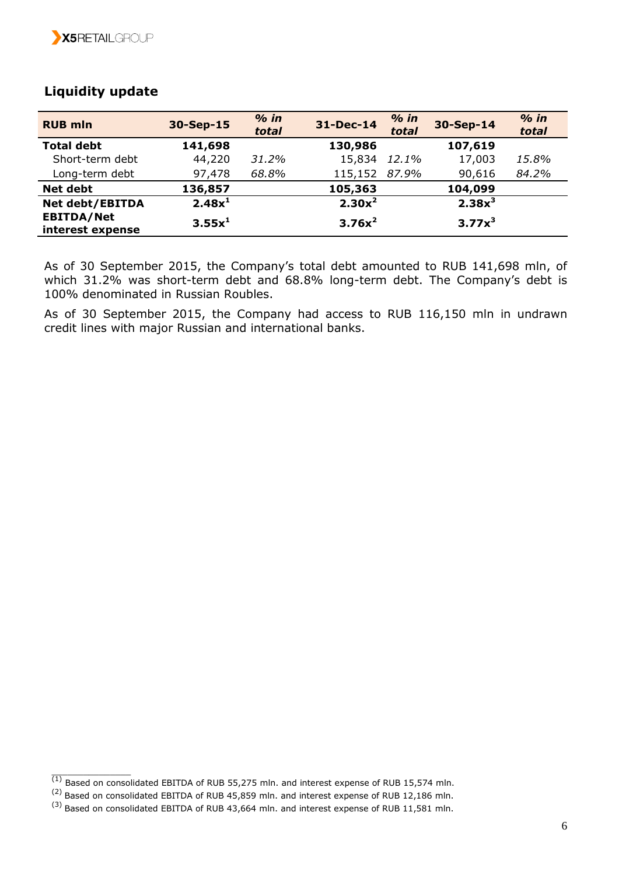| <b>RUB mln</b>                        | 30-Sep-15          | $%$ in<br>total | 31-Dec-14 | $%$ in<br>total | 30-Sep-14 | $%$ in<br>total |
|---------------------------------------|--------------------|-----------------|-----------|-----------------|-----------|-----------------|
| <b>Total debt</b>                     | 141,698            |                 | 130,986   |                 | 107,619   |                 |
| Short-term debt                       | 44,220             | 31.2%           | 15,834    | 12.1%           | 17,003    | 15.8%           |
| Long-term debt                        | 97,478             | 68.8%           | 115,152   | 87.9%           | 90,616    | 84.2%           |
| <b>Net debt</b>                       | 136,857            |                 | 105,363   |                 | 104,099   |                 |
| <b>Net debt/EBITDA</b>                | 2.48x <sup>1</sup> |                 | $2.30x^2$ |                 | $2.38x^3$ |                 |
| <b>EBITDA/Net</b><br>interest expense | $3.55x^1$          |                 | $3.76x^2$ |                 | $3.77x^3$ |                 |

## **Liquidity update**

As of 30 September 2015, the Company's total debt amounted to RUB 141,698 mln, of which 31.2% was short-term debt and 68.8% long-term debt. The Company's debt is 100% denominated in Russian Roubles.

As of 30 September 2015, the Company had access to RUB 116,150 mln in undrawn credit lines with major Russian and international banks.

 $^{(1)}$  Based on consolidated EBITDA of RUB 55,275 mln. and interest expense of RUB 15,574 mln.

<sup>(2)</sup> Based on consolidated EBITDA of RUB 45,859 mln. and interest expense of RUB 12,186 mln.

<sup>(3)</sup> Based on consolidated EBITDA of RUB 43,664 mln. and interest expense of RUB 11,581 mln.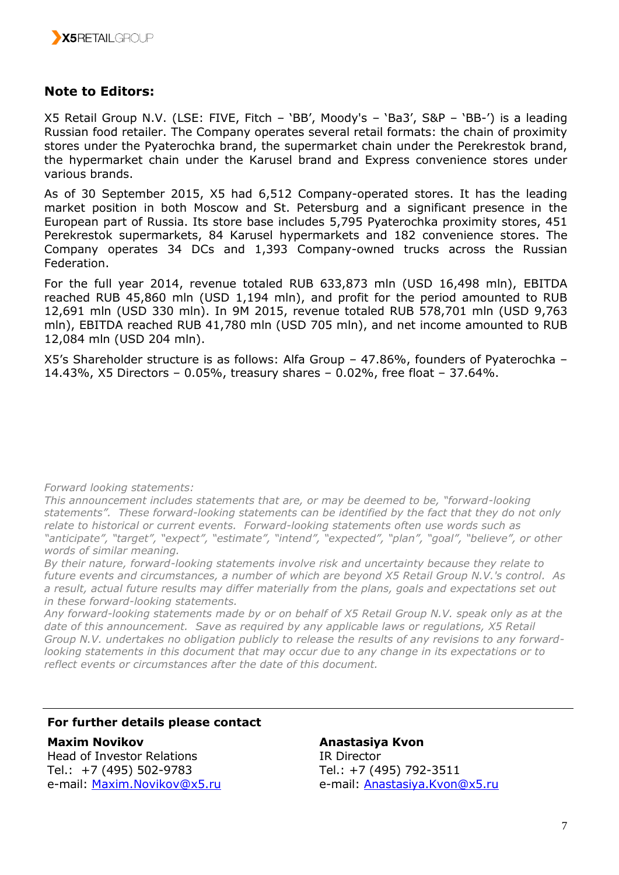

## **Note to Editors:**

X5 Retail Group N.V. (LSE: FIVE, Fitch – 'BB', Moody's – 'Ba3', S&P – 'BB-') is a leading Russian food retailer. The Company operates several retail formats: the chain of proximity stores under the Pyaterochka brand, the supermarket chain under the Perekrestok brand, the hypermarket chain under the Karusel brand and Express convenience stores under various brands.

As of 30 September 2015, X5 had 6,512 Company-operated stores. It has the leading market position in both Moscow and St. Petersburg and a significant presence in the European part of Russia. Its store base includes 5,795 Pyaterochka proximity stores, 451 Perekrestok supermarkets, 84 Karusel hypermarkets and 182 convenience stores. The Company operates 34 DCs and 1,393 Company-owned trucks across the Russian Federation.

For the full year 2014, revenue totaled RUB 633,873 mln (USD 16,498 mln), EBITDA reached RUB 45,860 mln (USD 1,194 mln), and profit for the period amounted to RUB 12,691 mln (USD 330 mln). In 9M 2015, revenue totaled RUB 578,701 mln (USD 9,763 mln), EBITDA reached RUB 41,780 mln (USD 705 mln), and net income amounted to RUB 12,084 mln (USD 204 mln).

X5's Shareholder structure is as follows: Alfa Group – 47.86%, founders of Pyaterochka – 14.43%, X5 Directors – 0.05%, treasury shares – 0.02%, free float – 37.64%.

*Forward looking statements:*

*This announcement includes statements that are, or may be deemed to be, "forward-looking statements". These forward-looking statements can be identified by the fact that they do not only relate to historical or current events. Forward-looking statements often use words such as "anticipate", "target", "expect", "estimate", "intend", "expected", "plan", "goal", "believe", or other words of similar meaning.*

*By their nature, forward-looking statements involve risk and uncertainty because they relate to future events and circumstances, a number of which are beyond X5 Retail Group N.V.'s control. As a result, actual future results may differ materially from the plans, goals and expectations set out in these forward-looking statements.* 

*Any forward-looking statements made by or on behalf of X5 Retail Group N.V. speak only as at the date of this announcement. Save as required by any applicable laws or regulations, X5 Retail Group N.V. undertakes no obligation publicly to release the results of any revisions to any forwardlooking statements in this document that may occur due to any change in its expectations or to reflect events or circumstances after the date of this document.*

### **For further details please contact**

#### **Maxim Novikov**

Head of Investor Relations Tel.: +7 (495) 502-9783 e-mail: [Maxim.Novikov@x5.ru](mailto:Maxim.Novikov@x5.ru)

**Anastasiya Kvon** IR Director Tel.: +7 (495) 792-3511 e-mail: [Anastasiya.Kvon@x5.ru](mailto:Anastasiya.Kvon@x5.ru)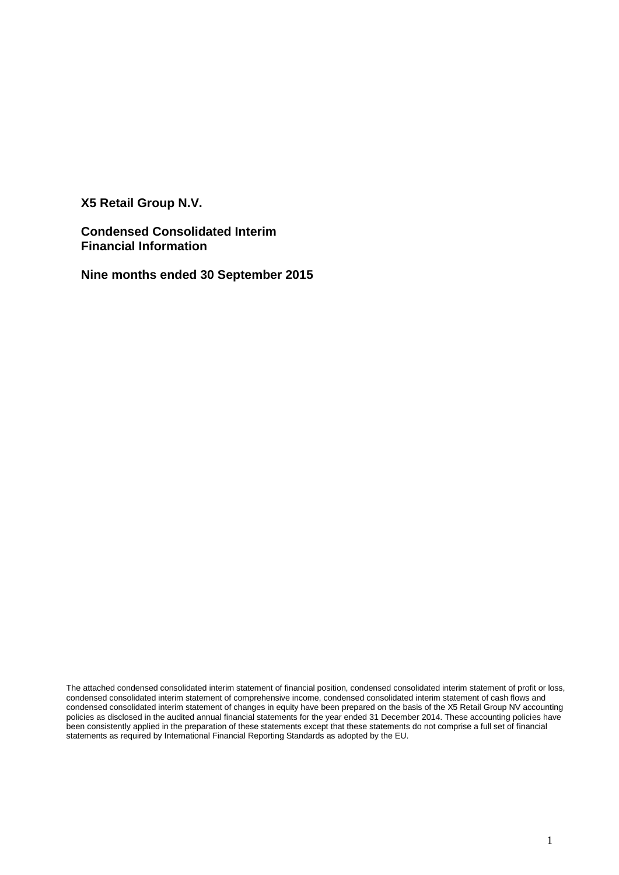**X5 Retail Group N.V.**

**Condensed Consolidated Interim Financial Information** 

**Nine months ended 30 September 2015**

The attached condensed consolidated interim statement of financial position, condensed consolidated interim statement of profit or loss, condensed consolidated interim statement of comprehensive income, condensed consolidated interim statement of cash flows and condensed consolidated interim statement of changes in equity have been prepared on the basis of the X5 Retail Group NV accounting policies as disclosed in the audited annual financial statements for the year ended 31 December 2014. These accounting policies have been consistently applied in the preparation of these statements except that these statements do not comprise a full set of financial statements as required by International Financial Reporting Standards as adopted by the EU.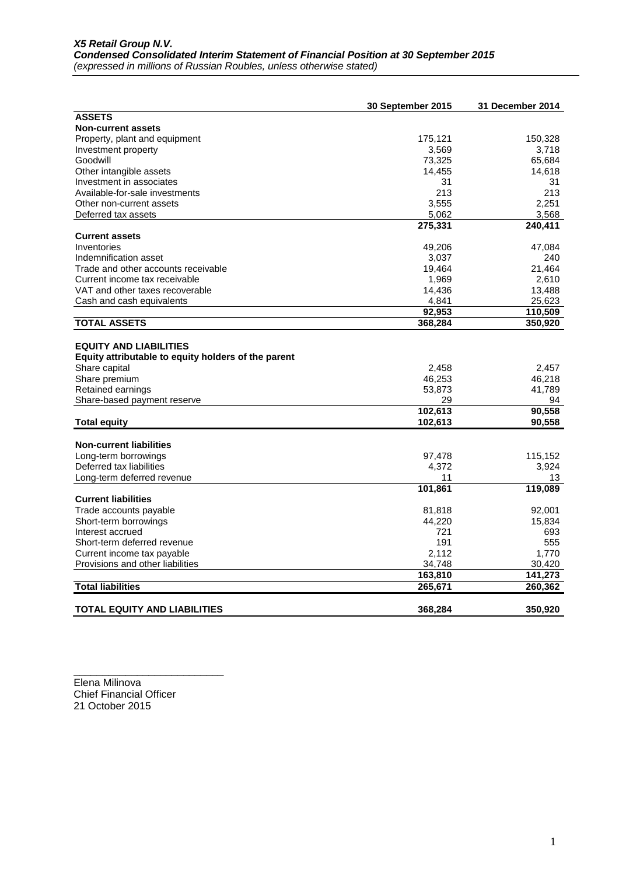|                                                                                                                                                                            | 30 September 2015               | 31 December 2014                |
|----------------------------------------------------------------------------------------------------------------------------------------------------------------------------|---------------------------------|---------------------------------|
| <b>ASSETS</b>                                                                                                                                                              |                                 |                                 |
| <b>Non-current assets</b>                                                                                                                                                  |                                 |                                 |
| Property, plant and equipment                                                                                                                                              | 175,121                         | 150,328                         |
| Investment property                                                                                                                                                        | 3,569                           | 3,718                           |
| Goodwill                                                                                                                                                                   | 73,325                          | 65,684                          |
| Other intangible assets                                                                                                                                                    | 14,455                          | 14,618                          |
| Investment in associates                                                                                                                                                   | 31                              | 31                              |
| Available-for-sale investments                                                                                                                                             | 213                             | 213                             |
| Other non-current assets                                                                                                                                                   | 3,555                           | 2.251                           |
| Deferred tax assets                                                                                                                                                        | 5,062                           | 3,568                           |
|                                                                                                                                                                            | 275,331                         | 240,411                         |
| <b>Current assets</b>                                                                                                                                                      |                                 |                                 |
| Inventories                                                                                                                                                                | 49,206                          | 47,084                          |
| Indemnification asset                                                                                                                                                      | 3,037                           | 240                             |
| Trade and other accounts receivable                                                                                                                                        | 19,464                          | 21.464                          |
| Current income tax receivable                                                                                                                                              | 1,969                           | 2,610                           |
| VAT and other taxes recoverable                                                                                                                                            | 14,436                          | 13,488                          |
| Cash and cash equivalents                                                                                                                                                  | 4,841                           | 25,623                          |
|                                                                                                                                                                            | 92,953                          | 110,509                         |
| <b>TOTAL ASSETS</b>                                                                                                                                                        | 368,284                         | 350,920                         |
| <b>EQUITY AND LIABILITIES</b><br>Equity attributable to equity holders of the parent<br>Share capital<br>Share premium<br>Retained earnings<br>Share-based payment reserve | 2,458<br>46,253<br>53,873<br>29 | 2,457<br>46,218<br>41,789<br>94 |
|                                                                                                                                                                            | 102,613                         | 90,558                          |
| <b>Total equity</b>                                                                                                                                                        | 102,613                         | 90,558                          |
|                                                                                                                                                                            |                                 |                                 |
| <b>Non-current liabilities</b>                                                                                                                                             |                                 |                                 |
| Long-term borrowings                                                                                                                                                       | 97,478                          | 115,152                         |
| Deferred tax liabilities                                                                                                                                                   | 4,372                           | 3,924                           |
| Long-term deferred revenue                                                                                                                                                 | 11                              | 13                              |
| <b>Current liabilities</b>                                                                                                                                                 | 101,861                         | 119,089                         |
|                                                                                                                                                                            |                                 |                                 |
| Trade accounts payable                                                                                                                                                     | 81,818                          | 92,001                          |
| Short-term borrowings                                                                                                                                                      | 44,220                          | 15,834                          |
| Interest accrued                                                                                                                                                           | 721                             | 693                             |
| Short-term deferred revenue                                                                                                                                                | 191                             | 555                             |
| Current income tax payable                                                                                                                                                 | 2,112                           | 1,770                           |
| Provisions and other liabilities                                                                                                                                           | 34,748                          | 30,420                          |
|                                                                                                                                                                            | 163,810                         | 141,273                         |
| <b>Total liabilities</b>                                                                                                                                                   | 265,671                         | 260,362                         |
| <b>TOTAL EQUITY AND LIABILITIES</b>                                                                                                                                        | 368,284                         | 350,920                         |

Elena Milinova Chief Financial Officer 21 October 2015

\_\_\_\_\_\_\_\_\_\_\_\_\_\_\_\_\_\_\_\_\_\_\_\_\_\_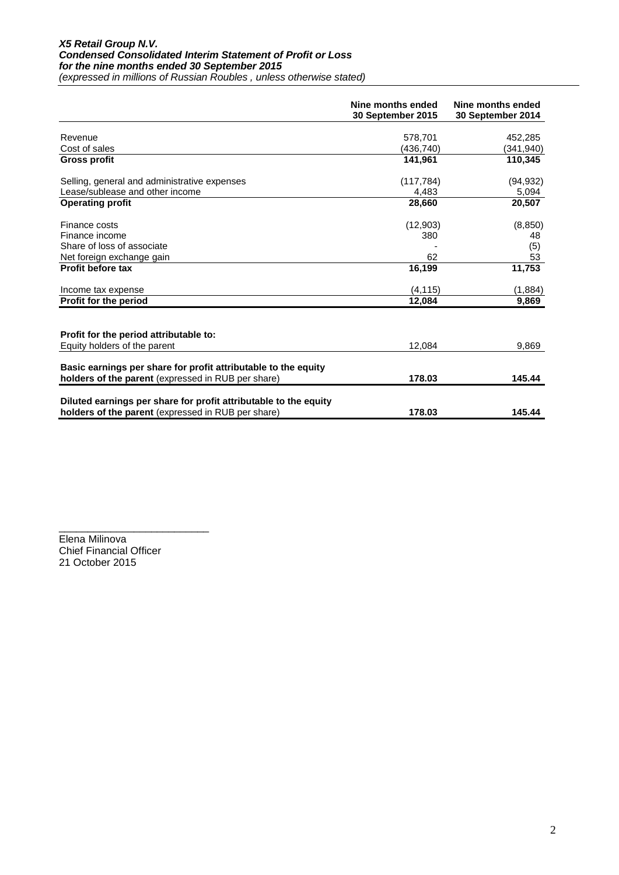#### *X5 Retail Group N.V. Condensed Consolidated Interim Statement of Profit or Loss for the nine months ended 30 September 2015 (expressed in millions of Russian Roubles , unless otherwise stated)*

|                                                                                                                      | Nine months ended<br>30 September 2015 | Nine months ended<br>30 September 2014 |
|----------------------------------------------------------------------------------------------------------------------|----------------------------------------|----------------------------------------|
| Revenue                                                                                                              |                                        |                                        |
| Cost of sales                                                                                                        | 578,701<br>(436,740)                   | 452,285                                |
| <b>Gross profit</b>                                                                                                  | 141.961                                | (341,940)<br>110.345                   |
|                                                                                                                      |                                        |                                        |
| Selling, general and administrative expenses                                                                         | (117, 784)                             | (94, 932)                              |
| Lease/sublease and other income                                                                                      | 4,483                                  | 5,094                                  |
| <b>Operating profit</b>                                                                                              | 28,660                                 | 20,507                                 |
| Finance costs                                                                                                        | (12,903)                               | (8, 850)                               |
| Finance income                                                                                                       | 380                                    | 48                                     |
| Share of loss of associate                                                                                           |                                        | (5)                                    |
| Net foreign exchange gain                                                                                            | 62                                     | 53                                     |
| Profit before tax                                                                                                    | 16,199                                 | 11,753                                 |
| Income tax expense                                                                                                   | (4, 115)                               | (1,884)                                |
| Profit for the period                                                                                                | 12,084                                 | 9,869                                  |
|                                                                                                                      |                                        |                                        |
| Profit for the period attributable to:                                                                               |                                        |                                        |
| Equity holders of the parent                                                                                         | 12,084                                 | 9,869                                  |
|                                                                                                                      |                                        |                                        |
| Basic earnings per share for profit attributable to the equity<br>holders of the parent (expressed in RUB per share) | 178.03                                 | 145.44                                 |
|                                                                                                                      |                                        |                                        |
| Diluted earnings per share for profit attributable to the equity                                                     |                                        |                                        |
| holders of the parent (expressed in RUB per share)                                                                   | 178.03                                 | 145.44                                 |

\_\_\_\_\_\_\_\_\_\_\_\_\_\_\_\_\_\_\_\_\_\_\_\_\_\_ Elena Milinova Chief Financial Officer 21 October 2015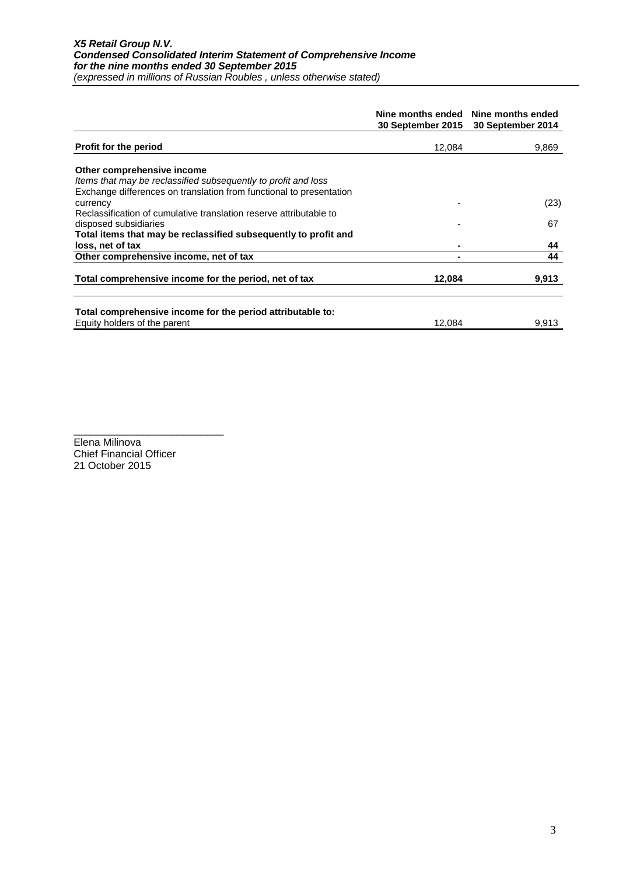|                                                                     | 30 September 2015 | Nine months ended Nine months ended<br>30 September 2014 |
|---------------------------------------------------------------------|-------------------|----------------------------------------------------------|
| <b>Profit for the period</b>                                        | 12,084            | 9,869                                                    |
|                                                                     |                   |                                                          |
| Other comprehensive income                                          |                   |                                                          |
| Items that may be reclassified subsequently to profit and loss      |                   |                                                          |
| Exchange differences on translation from functional to presentation |                   |                                                          |
| currency                                                            |                   | (23)                                                     |
| Reclassification of cumulative translation reserve attributable to  |                   |                                                          |
| disposed subsidiaries                                               |                   | 67                                                       |
| Total items that may be reclassified subsequently to profit and     |                   |                                                          |
| loss, net of tax                                                    |                   | 44                                                       |
| Other comprehensive income, net of tax                              |                   | 44                                                       |
| Total comprehensive income for the period, net of tax               | 12.084            | 9,913                                                    |
|                                                                     |                   |                                                          |
| Total comprehensive income for the period attributable to:          |                   |                                                          |
| Equity holders of the parent                                        | 12.084            | 9,913                                                    |

Elena Milinova Chief Financial Officer 21 October 2015

\_\_\_\_\_\_\_\_\_\_\_\_\_\_\_\_\_\_\_\_\_\_\_\_\_\_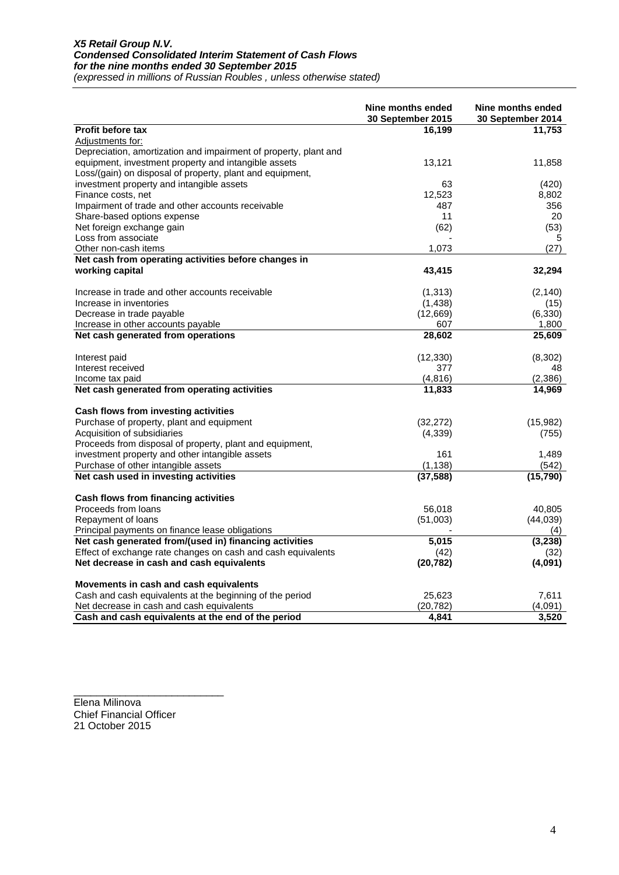#### *X5 Retail Group N.V. Condensed Consolidated Interim Statement of Cash Flows for the nine months ended 30 September 2015*

*(expressed in millions of Russian Roubles , unless otherwise stated)*

|                                                                  | Nine months ended<br>30 September 2015 | Nine months ended<br>30 September 2014 |
|------------------------------------------------------------------|----------------------------------------|----------------------------------------|
| <b>Profit before tax</b>                                         | 16,199                                 | 11,753                                 |
| Adjustments for:                                                 |                                        |                                        |
| Depreciation, amortization and impairment of property, plant and |                                        |                                        |
| equipment, investment property and intangible assets             | 13,121                                 | 11,858                                 |
| Loss/(gain) on disposal of property, plant and equipment,        |                                        |                                        |
| investment property and intangible assets                        | 63                                     | (420)                                  |
| Finance costs, net                                               | 12,523                                 | 8,802                                  |
| Impairment of trade and other accounts receivable                | 487                                    | 356                                    |
| Share-based options expense                                      | 11                                     | 20                                     |
| Net foreign exchange gain                                        | (62)                                   | (53)                                   |
| Loss from associate                                              |                                        | 5                                      |
| Other non-cash items                                             | 1,073                                  | (27)                                   |
| Net cash from operating activities before changes in             |                                        |                                        |
| working capital                                                  | 43,415                                 | 32,294                                 |
| Increase in trade and other accounts receivable                  | (1, 313)                               | (2, 140)                               |
| Increase in inventories                                          | (1,438)                                | (15)                                   |
| Decrease in trade payable                                        | (12,669)                               | (6, 330)                               |
| Increase in other accounts payable                               | 607                                    | 1,800                                  |
| Net cash generated from operations                               | 28,602                                 | 25,609                                 |
| Interest paid                                                    | (12, 330)                              | (8,302)                                |
| Interest received                                                | 377                                    | 48                                     |
| Income tax paid                                                  | (4, 816)                               | (2,386)                                |
| Net cash generated from operating activities                     | 11,833                                 | 14,969                                 |
| Cash flows from investing activities                             |                                        |                                        |
| Purchase of property, plant and equipment                        | (32, 272)                              | (15,982)                               |
| Acquisition of subsidiaries                                      | (4,339)                                | (755)                                  |
| Proceeds from disposal of property, plant and equipment,         |                                        |                                        |
| investment property and other intangible assets                  | 161                                    | 1,489                                  |
| Purchase of other intangible assets                              | (1, 138)                               | (542)                                  |
| Net cash used in investing activities                            | (37, 588)                              | (15, 790)                              |
| Cash flows from financing activities                             |                                        |                                        |
| Proceeds from loans                                              | 56,018                                 | 40,805                                 |
| Repayment of loans                                               | (51,003)                               | (44, 039)                              |
| Principal payments on finance lease obligations                  |                                        | (4)                                    |
| Net cash generated from/(used in) financing activities           | 5,015                                  | (3,238)                                |
| Effect of exchange rate changes on cash and cash equivalents     | (42)                                   | (32)                                   |
| Net decrease in cash and cash equivalents                        | (20, 782)                              | (4,091)                                |
| Movements in cash and cash equivalents                           |                                        |                                        |
| Cash and cash equivalents at the beginning of the period         | 25,623                                 | 7,611                                  |
| Net decrease in cash and cash equivalents                        | (20, 782)                              | (4,091)                                |
| Cash and cash equivalents at the end of the period               | 4,841                                  | 3,520                                  |

\_\_\_\_\_\_\_\_\_\_\_\_\_\_\_\_\_\_\_\_\_\_\_\_\_\_ Elena Milinova Chief Financial Officer 21 October 2015